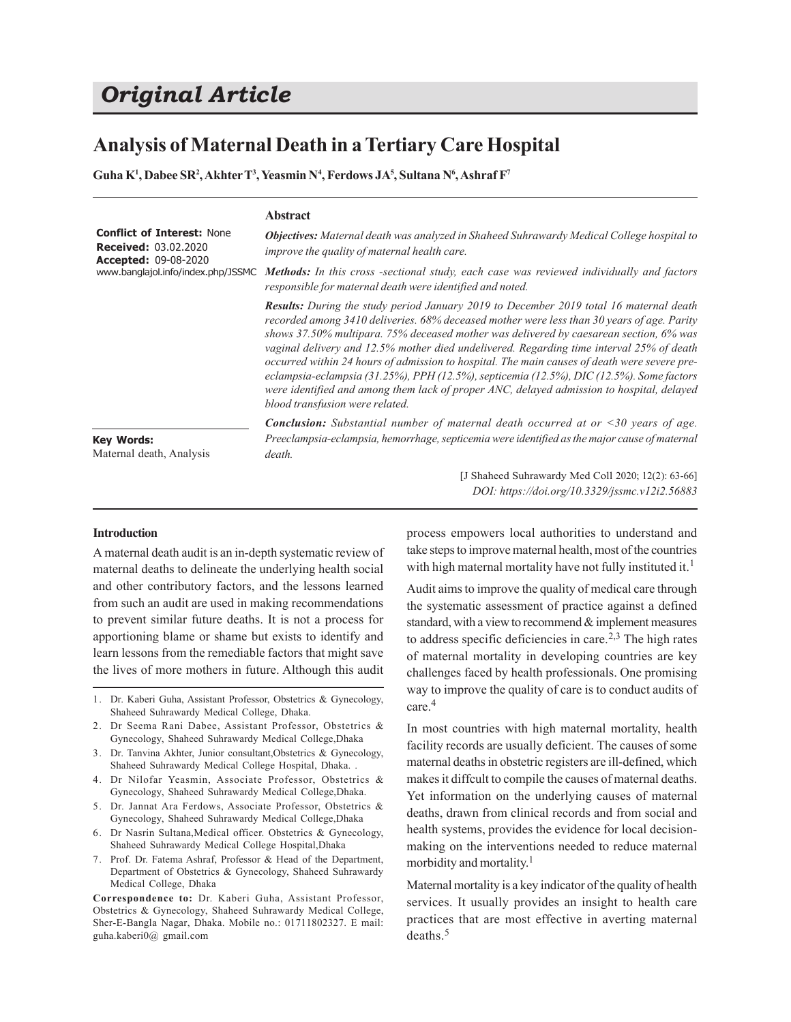# *Original Article*

# **Analysis of Maternal Death in a Tertiary Care Hospital**

**Guha K<sup>1</sup> , Dabee SR<sup>2</sup> , Akhter T<sup>3</sup> , Yeasmin N<sup>4</sup> , Ferdows JA<sup>5</sup> , Sultana N<sup>6</sup> , Ashraf F<sup>7</sup>**

|                                                                                                                                                            | <b>Abstract</b>                                                                                                                                                                                                                                                                                                                                                                                                                                                                                                                                                                                                                                                                                               |
|------------------------------------------------------------------------------------------------------------------------------------------------------------|---------------------------------------------------------------------------------------------------------------------------------------------------------------------------------------------------------------------------------------------------------------------------------------------------------------------------------------------------------------------------------------------------------------------------------------------------------------------------------------------------------------------------------------------------------------------------------------------------------------------------------------------------------------------------------------------------------------|
| <b>Conflict of Interest: None</b><br><b>Received: 03.02.2020</b><br><b>Accepted: 09-08-2020</b><br>www.banglajol.info/index.php/JSSMC<br><b>Key Words:</b> | <b>Objectives:</b> Maternal death was analyzed in Shaheed Suhrawardy Medical College hospital to<br>improve the quality of maternal health care.                                                                                                                                                                                                                                                                                                                                                                                                                                                                                                                                                              |
|                                                                                                                                                            | <b>Methods:</b> In this cross -sectional study, each case was reviewed individually and factors<br>responsible for maternal death were identified and noted.                                                                                                                                                                                                                                                                                                                                                                                                                                                                                                                                                  |
|                                                                                                                                                            | <b>Results:</b> During the study period January 2019 to December 2019 total 16 maternal death<br>recorded among 3410 deliveries. 68% deceased mother were less than 30 years of age. Parity<br>shows 37.50% multipara. 75% deceased mother was delivered by caesarean section, 6% was<br>vaginal delivery and 12.5% mother died undelivered. Regarding time interval 25% of death<br>occurred within 24 hours of admission to hospital. The main causes of death were severe pre-<br>eclampsia-eclampsia (31.25%), PPH (12.5%), septicemia (12.5%), DIC (12.5%). Some factors<br>were identified and among them lack of proper ANC, delayed admission to hospital, delayed<br>blood transfusion were related. |
|                                                                                                                                                            | <b>Conclusion:</b> Substantial number of maternal death occurred at or $\leq 30$ years of age.<br>Preeclampsia-eclampsia, hemorrhage, septicemia were identified as the major cause of maternal                                                                                                                                                                                                                                                                                                                                                                                                                                                                                                               |
| Maternal death, Analysis                                                                                                                                   | death.                                                                                                                                                                                                                                                                                                                                                                                                                                                                                                                                                                                                                                                                                                        |

[J Shaheed Suhrawardy Med Coll 2020; 12(2): 63-66] *DOI: https://doi.org/10.3329/jssmc.v12i2.56883*

# **Introduction**

A maternal death audit is an in-depth systematic review of maternal deaths to delineate the underlying health social and other contributory factors, and the lessons learned from such an audit are used in making recommendations to prevent similar future deaths. It is not a process for apportioning blame or shame but exists to identify and learn lessons from the remediable factors that might save the lives of more mothers in future. Although this audit

- 1. Dr. Kaberi Guha, Assistant Professor, Obstetrics & Gynecology, Shaheed Suhrawardy Medical College, Dhaka.
- 2. Dr Seema Rani Dabee, Assistant Professor, Obstetrics & Gynecology, Shaheed Suhrawardy Medical College,Dhaka
- 3. Dr. Tanvina Akhter, Junior consultant,Obstetrics & Gynecology, Shaheed Suhrawardy Medical College Hospital, Dhaka. .
- 4. Dr Nilofar Yeasmin, Associate Professor, Obstetrics & Gynecology, Shaheed Suhrawardy Medical College,Dhaka.
- 5. Dr. Jannat Ara Ferdows, Associate Professor, Obstetrics & Gynecology, Shaheed Suhrawardy Medical College,Dhaka
- 6. Dr Nasrin Sultana,Medical officer. Obstetrics & Gynecology, Shaheed Suhrawardy Medical College Hospital,Dhaka
- 7. Prof. Dr. Fatema Ashraf, Professor & Head of the Department, Department of Obstetrics & Gynecology, Shaheed Suhrawardy Medical College, Dhaka

**Correspondence to:** Dr. Kaberi Guha, Assistant Professor, Obstetrics & Gynecology, Shaheed Suhrawardy Medical College, Sher-E-Bangla Nagar, Dhaka. Mobile no.: 01711802327. E mail: guha.kaberi0@ gmail.com

process empowers local authorities to understand and take steps to improve maternal health, most of the countries with high maternal mortality have not fully instituted it.<sup>1</sup>

Audit aims to improve the quality of medical care through the systematic assessment of practice against a defined standard, with a view to recommend & implement measures to address specific deficiencies in care.<sup>2,3</sup> The high rates of maternal mortality in developing countries are key challenges faced by health professionals. One promising way to improve the quality of care is to conduct audits of care.<sup>4</sup>

In most countries with high maternal mortality, health facility records are usually deficient. The causes of some maternal deaths in obstetric registers are ill-defined, which makes it diffcult to compile the causes of maternal deaths. Yet information on the underlying causes of maternal deaths, drawn from clinical records and from social and health systems, provides the evidence for local decisionmaking on the interventions needed to reduce maternal morbidity and mortality. 1

Maternal mortality is a key indicator of the quality of health services. It usually provides an insight to health care practices that are most effective in averting maternal deaths. 5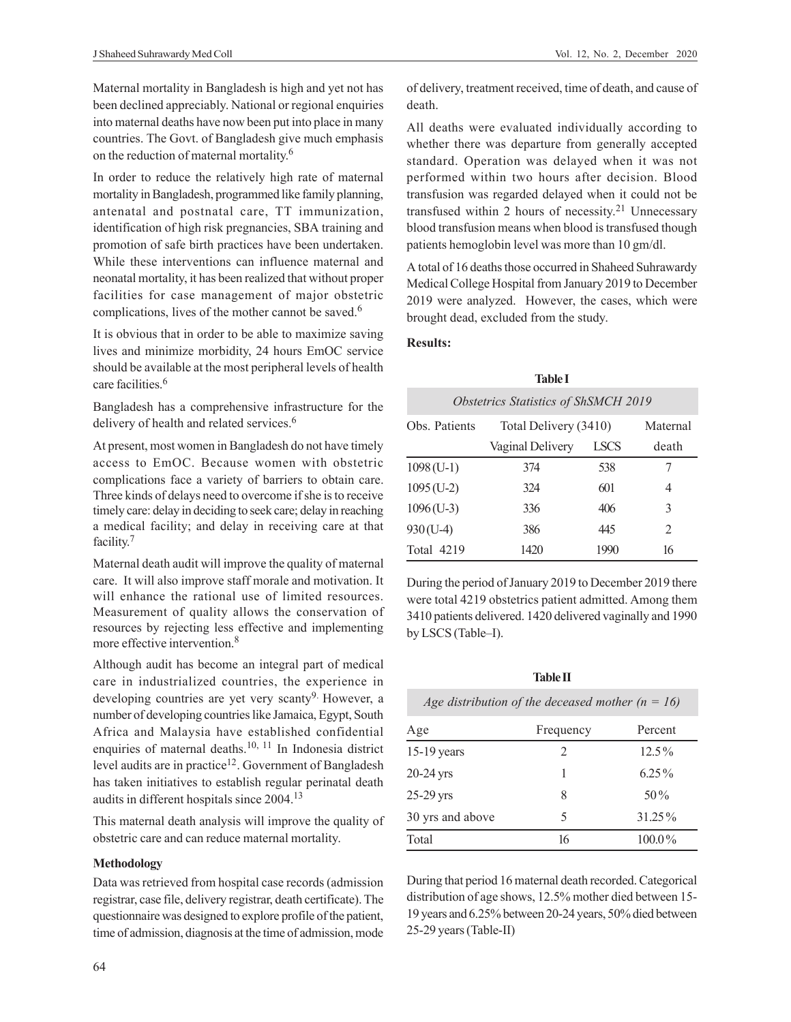Maternal mortality in Bangladesh is high and yet not has been declined appreciably. National or regional enquiries into maternal deaths have now been put into place in many countries. The Govt. of Bangladesh give much emphasis on the reduction of maternal mortality. 6

In order to reduce the relatively high rate of maternal mortality in Bangladesh, programmed like family planning, antenatal and postnatal care, TT immunization, identification of high risk pregnancies, SBA training and promotion of safe birth practices have been undertaken. While these interventions can influence maternal and neonatal mortality, it has been realized that without proper facilities for case management of major obstetric complications, lives of the mother cannot be saved.<sup>6</sup>

It is obvious that in order to be able to maximize saving lives and minimize morbidity, 24 hours EmOC service should be available at the most peripheral levels of health care facilities.<sup>6</sup>

Bangladesh has a comprehensive infrastructure for the delivery of health and related services.<sup>6</sup>

At present, most women in Bangladesh do not have timely access to EmOC. Because women with obstetric complications face a variety of barriers to obtain care. Three kinds of delays need to overcome if she is to receive timely care: delay in deciding to seek care; delay in reaching a medical facility; and delay in receiving care at that facility. 7

Maternal death audit will improve the quality of maternal care. It will also improve staff morale and motivation. It will enhance the rational use of limited resources. Measurement of quality allows the conservation of resources by rejecting less effective and implementing more effective intervention.<sup>8</sup>

Although audit has become an integral part of medical care in industrialized countries, the experience in developing countries are yet very scanty<sup>9.</sup> However, a number of developing countries like Jamaica, Egypt, South Africa and Malaysia have established confidential enquiries of maternal deaths.10, 11 In Indonesia district level audits are in practice<sup>12</sup>. Government of Bangladesh has taken initiatives to establish regular perinatal death audits in different hospitals since 2004.<sup>13</sup>

This maternal death analysis will improve the quality of obstetric care and can reduce maternal mortality.

# **Methodology**

Data was retrieved from hospital case records (admission registrar, case file, delivery registrar, death certificate). The questionnaire was designed to explore profile of the patient, time of admission, diagnosis at the time of admission, mode of delivery, treatment received, time of death, and cause of death.

All deaths were evaluated individually according to whether there was departure from generally accepted standard. Operation was delayed when it was not performed within two hours after decision. Blood transfusion was regarded delayed when it could not be transfused within 2 hours of necessity. <sup>21</sup> Unnecessary blood transfusion means when blood is transfused though patients hemoglobin level was more than 10 gm/dl.

A total of 16 deaths those occurred in Shaheed Suhrawardy Medical College Hospital from January 2019 to December 2019 were analyzed. However, the cases, which were brought dead, excluded from the study.

# **Results:**

| <b>Table I</b>                              |                       |             |                             |  |  |
|---------------------------------------------|-----------------------|-------------|-----------------------------|--|--|
| <b>Obstetrics Statistics of ShSMCH 2019</b> |                       |             |                             |  |  |
| Obs. Patients                               | Total Delivery (3410) |             | Maternal                    |  |  |
|                                             | Vaginal Delivery      | <b>LSCS</b> | death                       |  |  |
| $1098$ (U-1)                                | 374                   | 538         |                             |  |  |
| $1095$ (U-2)                                | 324                   | 601         | 4                           |  |  |
| $1096$ (U-3)                                | 336                   | 406         | 3                           |  |  |
| $930(U-4)$                                  | 386                   | 445         | $\mathcal{D}_{\mathcal{L}}$ |  |  |
| <b>Total 4219</b>                           | 1420                  | 1990        | 16                          |  |  |

During the period of January 2019 to December 2019 there were total 4219 obstetrics patient admitted. Among them 3410 patients delivered. 1420 delivered vaginally and 1990 by LSCS (Table–I).

**Table II**

| Age distribution of the deceased mother ( $n = 16$ ) |           |           |  |  |  |
|------------------------------------------------------|-----------|-----------|--|--|--|
| Age                                                  | Frequency | Percent   |  |  |  |
| $15-19$ years                                        | 2         | $12.5\%$  |  |  |  |
| 20-24 yrs                                            | 1         | $6.25\%$  |  |  |  |
| 25-29 yrs                                            | 8         | $50\%$    |  |  |  |
| 30 yrs and above                                     | 5         | $31.25\%$ |  |  |  |
| Total                                                | 16        | $100.0\%$ |  |  |  |
|                                                      |           |           |  |  |  |

During that period 16 maternal death recorded. Categorical distribution of age shows, 12.5% mother died between 15- 19 years and 6.25% between 20-24 years, 50% died between 25-29 years (Table-II)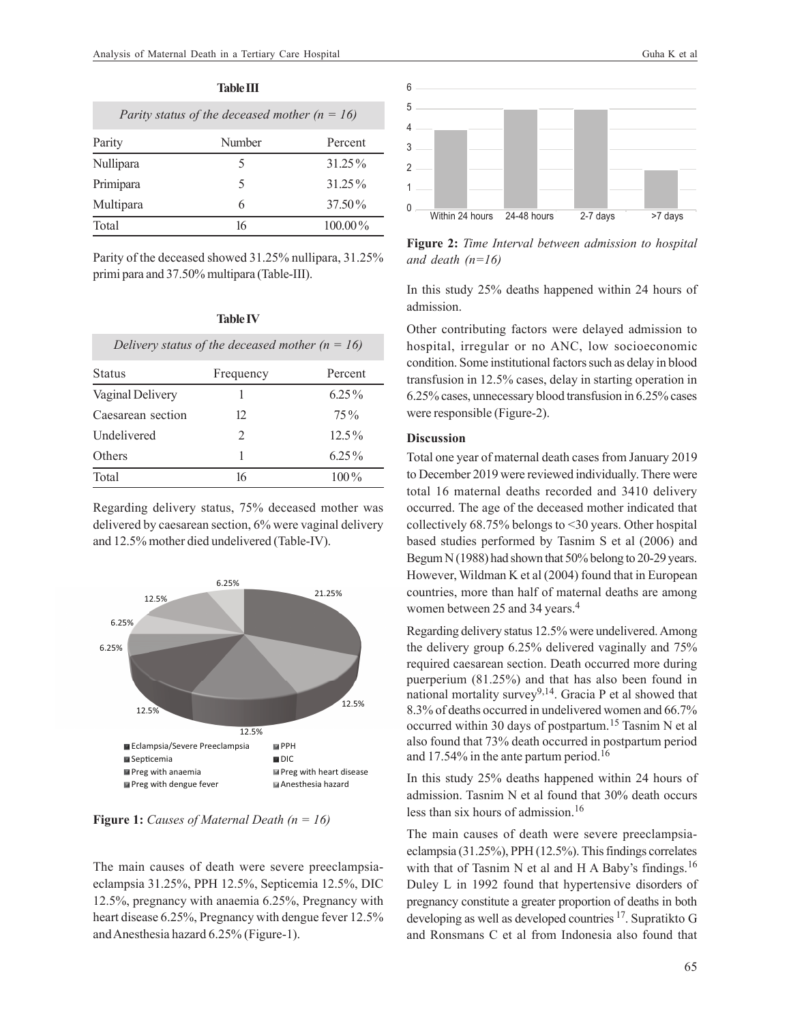| Parity status of the deceased mother ( $n = 16$ ) |        |            |  |  |
|---------------------------------------------------|--------|------------|--|--|
| Parity                                            | Number | Percent    |  |  |
| Nullipara                                         | 5      | 31.25%     |  |  |
| Primipara                                         | 5      | 31.25%     |  |  |
| Multipara                                         | 6      | 37.50%     |  |  |
| Total                                             | 16     | $100.00\%$ |  |  |

**Table III**

Parity of the deceased showed 31.25% nullipara, 31.25% primi para and 37.50% multipara (Table-III).

**Table IV**

| Delivery status of the deceased mother ( $n = 16$ ) |               |          |  |  |  |
|-----------------------------------------------------|---------------|----------|--|--|--|
| <b>Status</b>                                       | Frequency     | Percent  |  |  |  |
| Vaginal Delivery                                    |               | $6.25\%$ |  |  |  |
| Caesarean section                                   | 12.           | $75\%$   |  |  |  |
| <b>Undelivered</b>                                  | $\mathcal{L}$ | $12.5\%$ |  |  |  |
| Others                                              |               | $6.25\%$ |  |  |  |
| Total                                               | 16            | $100\%$  |  |  |  |

Regarding delivery status, 75% deceased mother was delivered by caesarean section, 6% were vaginal delivery and 12.5% mother died undelivered (Table-IV).



**Figure 1:** *Causes of Maternal Death (n = 16)*

The main causes of death were severe preeclampsiaeclampsia 31.25%, PPH 12.5%, Septicemia 12.5%, DIC 12.5%, pregnancy with anaemia 6.25%, Pregnancy with heart disease 6.25%, Pregnancy with dengue fever 12.5% and Anesthesia hazard 6.25% (Figure-1).



**Figure 2:** *Time Interval between admission to hospital and death (n=16)*

In this study 25% deaths happened within 24 hours of admission.

Other contributing factors were delayed admission to hospital, irregular or no ANC, low socioeconomic condition. Some institutional factors such as delay in blood transfusion in 12.5% cases, delay in starting operation in 6.25% cases, unnecessary blood transfusion in 6.25% cases were responsible (Figure-2).

# **Discussion**

Total one year of maternal death cases from January 2019 to December 2019 were reviewed individually. There were total 16 maternal deaths recorded and 3410 delivery occurred. The age of the deceased mother indicated that collectively 68.75% belongs to <30 years. Other hospital based studies performed by Tasnim S et al (2006) and Begum N (1988) had shown that 50% belong to 20-29 years. However, Wildman K et al (2004) found that in European countries, more than half of maternal deaths are among women between 25 and 34 years.<sup>4</sup>

Regarding delivery status 12.5% were undelivered. Among the delivery group 6.25% delivered vaginally and 75% required caesarean section. Death occurred more during puerperium (81.25%) and that has also been found in national mortality survey<sup>9,14</sup>. Gracia P et al showed that 8.3% of deaths occurred in undelivered women and 66.7% occurred within 30 days of postpartum.15 Tasnim N et al also found that 73% death occurred in postpartum period and 17.54% in the ante partum period.<sup>16</sup>

In this study 25% deaths happened within 24 hours of admission. Tasnim N et al found that 30% death occurs less than six hours of admission.<sup>16</sup>

The main causes of death were severe preeclampsiaeclampsia (31.25%), PPH (12.5%). This findings correlates with that of Tasnim N et al and H A Baby's findings.<sup>16</sup> Duley L in 1992 found that hypertensive disorders of pregnancy constitute a greater proportion of deaths in both developing as well as developed countries <sup>17</sup>. Supratikto G and Ronsmans C et al from Indonesia also found that